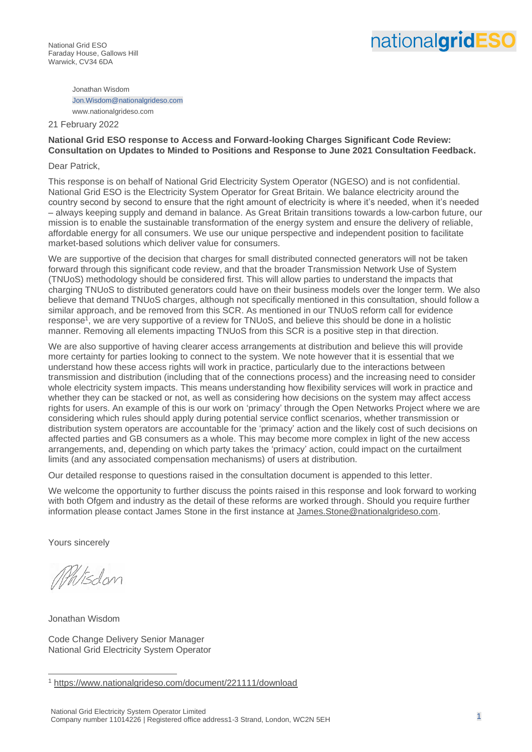Jonathan Wisdom Jon.Wisdom@nationalgrideso.com www.nationalgrideso.com

#### 21 February 2022

# **National Grid ESO response to Access and Forward-looking Charges Significant Code Review: Consultation on Updates to Minded to Positions and Response to June 2021 Consultation Feedback.**

#### Dear Patrick,

This response is on behalf of National Grid Electricity System Operator (NGESO) and is not confidential. National Grid ESO is the Electricity System Operator for Great Britain. We balance electricity around the country second by second to ensure that the right amount of electricity is where it's needed, when it's needed – always keeping supply and demand in balance. As Great Britain transitions towards a low-carbon future, our mission is to enable the sustainable transformation of the energy system and ensure the delivery of reliable, affordable energy for all consumers. We use our unique perspective and independent position to facilitate market-based solutions which deliver value for consumers.

We are supportive of the decision that charges for small distributed connected generators will not be taken forward through this significant code review, and that the broader Transmission Network Use of System (TNUoS) methodology should be considered first. This will allow parties to understand the impacts that charging TNUoS to distributed generators could have on their business models over the longer term. We also believe that demand TNUoS charges, although not specifically mentioned in this consultation, should follow a similar approach, and be removed from this SCR. As mentioned in our TNUoS reform call for evidence response<sup>1</sup>, we are very supportive of a review for TNUoS, and believe this should be done in a holistic manner. Removing all elements impacting TNUoS from this SCR is a positive step in that direction.

We are also supportive of having clearer access arrangements at distribution and believe this will provide more certainty for parties looking to connect to the system. We note however that it is essential that we understand how these access rights will work in practice, particularly due to the interactions between transmission and distribution (including that of the connections process) and the increasing need to consider whole electricity system impacts. This means understanding how flexibility services will work in practice and whether they can be stacked or not, as well as considering how decisions on the system may affect access rights for users. An example of this is our work on 'primacy' through the Open Networks Project where we are considering which rules should apply during potential service conflict scenarios, whether transmission or distribution system operators are accountable for the 'primacy' action and the likely cost of such decisions on affected parties and GB consumers as a whole. This may become more complex in light of the new access arrangements, and, depending on which party takes the 'primacy' action, could impact on the curtailment limits (and any associated compensation mechanisms) of users at distribution.

Our detailed response to questions raised in the consultation document is appended to this letter.

We welcome the opportunity to further discuss the points raised in this response and look forward to working with both Ofgem and industry as the detail of these reforms are worked through. Should you require further information please contact James Stone in the first instance at [James.Stone@nationalgrideso.com.](mailto:James.Stone@nationalgrideso.com)

Yours sincerely

Misdon

Jonathan Wisdom

Code Change Delivery Senior Manager National Grid Electricity System Operator

<sup>1</sup> <https://www.nationalgrideso.com/document/221111/download>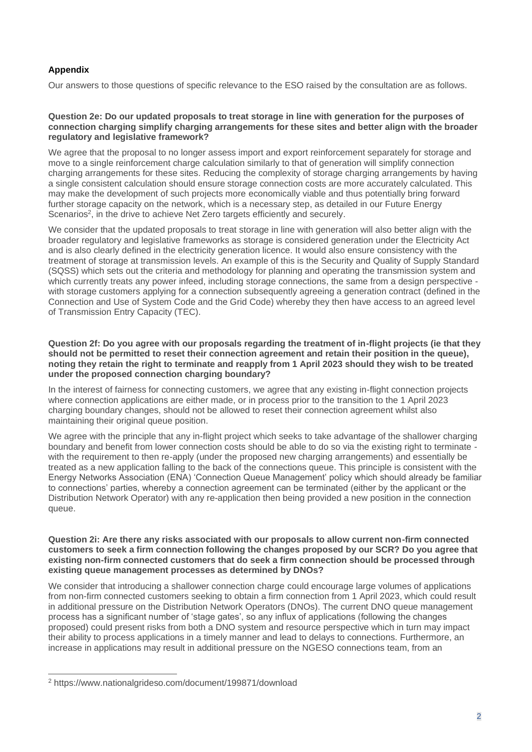# **Appendix**

Our answers to those questions of specific relevance to the ESO raised by the consultation are as follows.

## **Question 2e: Do our updated proposals to treat storage in line with generation for the purposes of connection charging simplify charging arrangements for these sites and better align with the broader regulatory and legislative framework?**

We agree that the proposal to no longer assess import and export reinforcement separately for storage and move to a single reinforcement charge calculation similarly to that of generation will simplify connection charging arrangements for these sites. Reducing the complexity of storage charging arrangements by having a single consistent calculation should ensure storage connection costs are more accurately calculated. This may make the development of such projects more economically viable and thus potentially bring forward further storage capacity on the network, which is a necessary step, as detailed in our Future Energy Scenarios<sup>2</sup>, in the drive to achieve Net Zero targets efficiently and securely.

We consider that the updated proposals to treat storage in line with generation will also better align with the broader regulatory and legislative frameworks as storage is considered generation under the Electricity Act and is also clearly defined in the electricity generation licence. It would also ensure consistency with the treatment of storage at transmission levels. An example of this is the Security and Quality of Supply Standard (SQSS) which sets out the criteria and methodology for planning and operating the transmission system and which currently treats any power infeed, including storage connections, the same from a design perspective with storage customers applying for a connection subsequently agreeing a generation contract (defined in the Connection and Use of System Code and the Grid Code) whereby they then have access to an agreed level of Transmission Entry Capacity (TEC).

# **Question 2f: Do you agree with our proposals regarding the treatment of in-flight projects (ie that they should not be permitted to reset their connection agreement and retain their position in the queue), noting they retain the right to terminate and reapply from 1 April 2023 should they wish to be treated under the proposed connection charging boundary?**

In the interest of fairness for connecting customers, we agree that any existing in-flight connection projects where connection applications are either made, or in process prior to the transition to the 1 April 2023 charging boundary changes, should not be allowed to reset their connection agreement whilst also maintaining their original queue position.

We agree with the principle that any in-flight project which seeks to take advantage of the shallower charging boundary and benefit from lower connection costs should be able to do so via the existing right to terminate with the requirement to then re-apply (under the proposed new charging arrangements) and essentially be treated as a new application falling to the back of the connections queue. This principle is consistent with the Energy Networks Association (ENA) 'Connection Queue Management' policy which should already be familiar to connections' parties, whereby a connection agreement can be terminated (either by the applicant or the Distribution Network Operator) with any re-application then being provided a new position in the connection queue.

## **Question 2i: Are there any risks associated with our proposals to allow current non-firm connected customers to seek a firm connection following the changes proposed by our SCR? Do you agree that existing non-firm connected customers that do seek a firm connection should be processed through existing queue management processes as determined by DNOs?**

We consider that introducing a shallower connection charge could encourage large volumes of applications from non-firm connected customers seeking to obtain a firm connection from 1 April 2023, which could result in additional pressure on the Distribution Network Operators (DNOs). The current DNO queue management process has a significant number of 'stage gates', so any influx of applications (following the changes proposed) could present risks from both a DNO system and resource perspective which in turn may impact their ability to process applications in a timely manner and lead to delays to connections. Furthermore, an increase in applications may result in additional pressure on the NGESO connections team, from an

<sup>2</sup> https://www.nationalgrideso.com/document/199871/download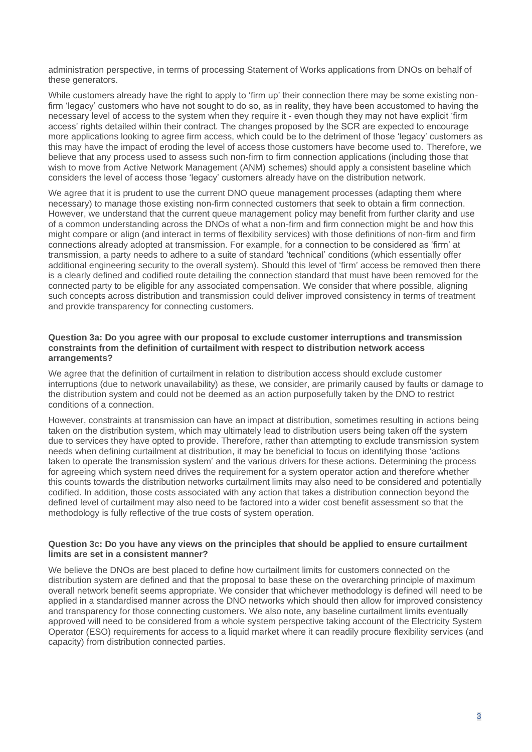administration perspective, in terms of processing Statement of Works applications from DNOs on behalf of these generators.

While customers already have the right to apply to 'firm up' their connection there may be some existing nonfirm 'legacy' customers who have not sought to do so, as in reality, they have been accustomed to having the necessary level of access to the system when they require it - even though they may not have explicit 'firm access' rights detailed within their contract. The changes proposed by the SCR are expected to encourage more applications looking to agree firm access, which could be to the detriment of those 'legacy' customers as this may have the impact of eroding the level of access those customers have become used to. Therefore, we believe that any process used to assess such non-firm to firm connection applications (including those that wish to move from Active Network Management (ANM) schemes) should apply a consistent baseline which considers the level of access those 'legacy' customers already have on the distribution network.

We agree that it is prudent to use the current DNO queue management processes (adapting them where necessary) to manage those existing non-firm connected customers that seek to obtain a firm connection. However, we understand that the current queue management policy may benefit from further clarity and use of a common understanding across the DNOs of what a non-firm and firm connection might be and how this might compare or align (and interact in terms of flexibility services) with those definitions of non-firm and firm connections already adopted at transmission. For example, for a connection to be considered as 'firm' at transmission, a party needs to adhere to a suite of standard 'technical' conditions (which essentially offer additional engineering security to the overall system). Should this level of 'firm' access be removed then there is a clearly defined and codified route detailing the connection standard that must have been removed for the connected party to be eligible for any associated compensation. We consider that where possible, aligning such concepts across distribution and transmission could deliver improved consistency in terms of treatment and provide transparency for connecting customers.

## **Question 3a: Do you agree with our proposal to exclude customer interruptions and transmission constraints from the definition of curtailment with respect to distribution network access arrangements?**

We agree that the definition of curtailment in relation to distribution access should exclude customer interruptions (due to network unavailability) as these, we consider, are primarily caused by faults or damage to the distribution system and could not be deemed as an action purposefully taken by the DNO to restrict conditions of a connection.

However, constraints at transmission can have an impact at distribution, sometimes resulting in actions being taken on the distribution system, which may ultimately lead to distribution users being taken off the system due to services they have opted to provide. Therefore, rather than attempting to exclude transmission system needs when defining curtailment at distribution, it may be beneficial to focus on identifying those 'actions taken to operate the transmission system' and the various drivers for these actions. Determining the process for agreeing which system need drives the requirement for a system operator action and therefore whether this counts towards the distribution networks curtailment limits may also need to be considered and potentially codified. In addition, those costs associated with any action that takes a distribution connection beyond the defined level of curtailment may also need to be factored into a wider cost benefit assessment so that the methodology is fully reflective of the true costs of system operation.

## **Question 3c: Do you have any views on the principles that should be applied to ensure curtailment limits are set in a consistent manner?**

We believe the DNOs are best placed to define how curtailment limits for customers connected on the distribution system are defined and that the proposal to base these on the overarching principle of maximum overall network benefit seems appropriate. We consider that whichever methodology is defined will need to be applied in a standardised manner across the DNO networks which should then allow for improved consistency and transparency for those connecting customers. We also note, any baseline curtailment limits eventually approved will need to be considered from a whole system perspective taking account of the Electricity System Operator (ESO) requirements for access to a liquid market where it can readily procure flexibility services (and capacity) from distribution connected parties.